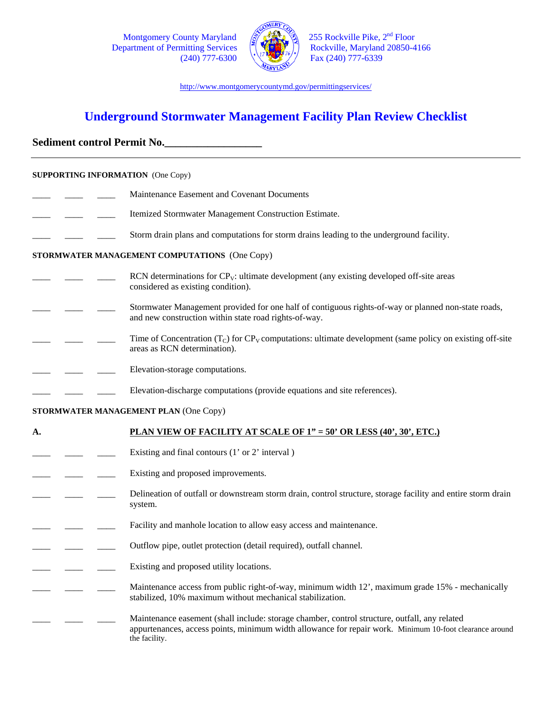Montgomery County Maryland Department of Permitting Services<br>(240) 777-6300



255 Rockville Pike, 2<sup>nd</sup> Floor<br>Rockville, Maryland 20850-4166<br>Fax (240) 777-6339

http://www.montgomerycountymd.gov/permittingservices/

# **Underground Stormwater Management Facility Plan Review Checklist**

## Sediment control Permit No.

| <b>SUPPORTING INFORMATION</b> (One Copy)      |                                                                                                                                                                                                                           |  |
|-----------------------------------------------|---------------------------------------------------------------------------------------------------------------------------------------------------------------------------------------------------------------------------|--|
|                                               | Maintenance Easement and Covenant Documents                                                                                                                                                                               |  |
|                                               | Itemized Stormwater Management Construction Estimate.                                                                                                                                                                     |  |
|                                               | Storm drain plans and computations for storm drains leading to the underground facility.                                                                                                                                  |  |
| STORMWATER MANAGEMENT COMPUTATIONS (One Copy) |                                                                                                                                                                                                                           |  |
|                                               | RCN determinations for $CP_V$ : ultimate development (any existing developed off-site areas<br>considered as existing condition).                                                                                         |  |
|                                               | Stormwater Management provided for one half of contiguous rights-of-way or planned non-state roads,<br>and new construction within state road rights-of-way.                                                              |  |
|                                               | Time of Concentration $(T_C)$ for $CP_V$ computations: ultimate development (same policy on existing off-site<br>areas as RCN determination).                                                                             |  |
|                                               | Elevation-storage computations.                                                                                                                                                                                           |  |
|                                               | Elevation-discharge computations (provide equations and site references).                                                                                                                                                 |  |
| STORMWATER MANAGEMENT PLAN (One Copy)         |                                                                                                                                                                                                                           |  |
| А.                                            | PLAN VIEW OF FACILITY AT SCALE OF 1" = 50' OR LESS (40', 30', ETC.)                                                                                                                                                       |  |
|                                               | Existing and final contours (1' or 2' interval)                                                                                                                                                                           |  |
|                                               | Existing and proposed improvements.                                                                                                                                                                                       |  |
|                                               | Delineation of outfall or downstream storm drain, control structure, storage facility and entire storm drain<br>system.                                                                                                   |  |
|                                               | Facility and manhole location to allow easy access and maintenance.                                                                                                                                                       |  |
|                                               | Outflow pipe, outlet protection (detail required), outfall channel.                                                                                                                                                       |  |
|                                               | Existing and proposed utility locations.                                                                                                                                                                                  |  |
|                                               | Maintenance access from public right-of-way, minimum width 12', maximum grade 15% - mechanically<br>stabilized, 10% maximum without mechanical stabilization.                                                             |  |
|                                               | Maintenance easement (shall include: storage chamber, control structure, outfall, any related<br>appurtenances, access points, minimum width allowance for repair work. Minimum 10-foot clearance around<br>the facility. |  |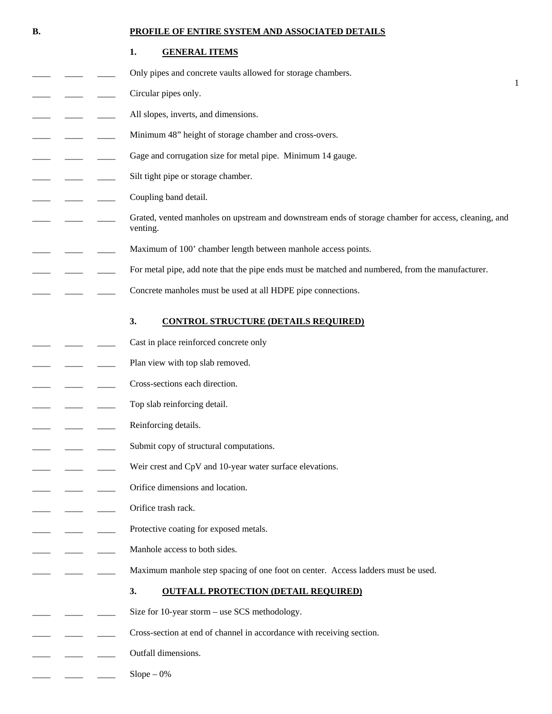#### **B. PROFILE OF ENTIRE SYSTEM AND ASSOCIATED DETAILS**

1

### **1. GENERAL ITEMS**

- Only pipes and concrete vaults allowed for storage chambers.
- Circular pipes only.
- All slopes, inverts, and dimensions.
- Minimum 48" height of storage chamber and cross-overs.
- Gage and corrugation size for metal pipe. Minimum 14 gauge.
- Silt tight pipe or storage chamber.
- Coupling band detail.
- Grated, vented manholes on upstream and downstream ends of storage chamber for access, cleaning, and venting.
	- Maximum of 100' chamber length between manhole access points.
	- For metal pipe, add note that the pipe ends must be matched and numbered, from the manufacturer.
- Concrete manholes must be used at all HDPE pipe connections.

#### **3. CONTROL STRUCTURE (DETAILS REQUIRED)**

- Cast in place reinforced concrete only
- Plan view with top slab removed.
- Cross-sections each direction.
- Top slab reinforcing detail.
- Reinforcing details.
- Submit copy of structural computations.
- Weir crest and CpV and 10-year water surface elevations.
- Orifice dimensions and location.
- Orifice trash rack.
- Protective coating for exposed metals.
- Manhole access to both sides.
	- Maximum manhole step spacing of one foot on center. Access ladders must be used.

#### **3. OUTFALL PROTECTION (DETAIL REQUIRED)**

- Size for 10-year storm use SCS methodology.
- Cross-section at end of channel in accordance with receiving section.
- Outfall dimensions.
	- $Slope 0%$